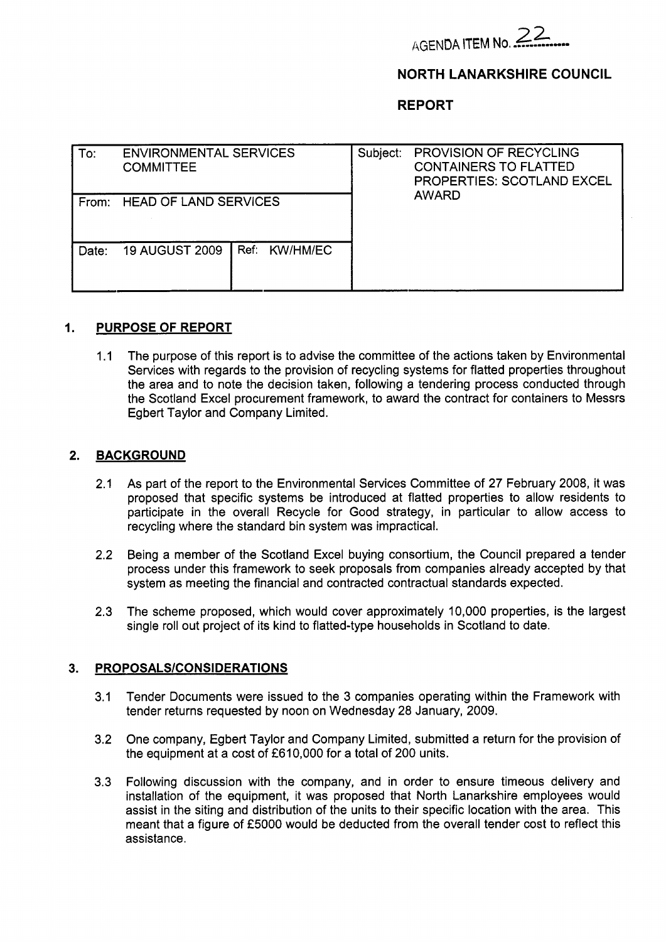

# **NORTH LANARKSHIRE COUNCIL**

### **REPORT**

| To:   | <b>ENVIRONMENTAL SERVICES</b><br><b>COMMITTEE</b> |               | PROVISION OF RECYCLING<br>Subject:<br><b>CONTAINERS TO FLATTED</b><br><b>PROPERTIES: SCOTLAND EXCEL</b> |              |
|-------|---------------------------------------------------|---------------|---------------------------------------------------------------------------------------------------------|--------------|
|       | From: HEAD OF LAND SERVICES                       |               |                                                                                                         | <b>AWARD</b> |
| Date: | <b>19 AUGUST 2009</b>                             | Ref: KW/HM/EC |                                                                                                         |              |

### **1. PURPOSE OF REPORT**

1.1 The purpose of this report is to advise the committee of the actions taken by Environmental Services with regards to the provision of recycling systems for flatted properties throughout the area and to note the decision taken, following a tendering process conducted through the Scotland Excel procurement framework, to award the contract for containers to Messrs Egbert Taylor and Company Limited.

### **2. BACKGROUND**

- 2.1 As part of the report to the Environmental Services Committee of 27 February 2008, it was proposed that specific systems be introduced at flatted properties to allow residents to participate in the overall Recycle for Good strategy, in particular to allow access to recycling where the standard bin system was impractical.
- 2.2 Being a member of the Scotland Excel buying consortium, the Council prepared a tender process under this framework to seek proposals from companies already accepted by that system as meeting the financial and contracted contractual standards expected.
- 2.3 The scheme proposed, which would cover approximately 10,000 properties, is the largest single roll out project of its kind to flatted-type households in Scotland to date.

#### 3. **PROPOSALS/CONSIDERATIONS**

- 3.1 Tender Documents were issued to the 3 companies operating within the Framework with tender returns requested by noon on Wednesday 28 January, 2009.
- 3.2 One company, Egbert Taylor and Company Limited, submitted a return for the provision of the equipment at a cost of £610,000 for a total of 200 units.
- 3.3 Following discussion with the company, and in order to ensure timeous delivery and installation of the equipment, it was proposed that North Lanarkshire employees would assist in the siting and distribution of the units to their specific location with the area. This meant that a figure of £5000 would be deducted from the overall tender cost to reflect this assistance .